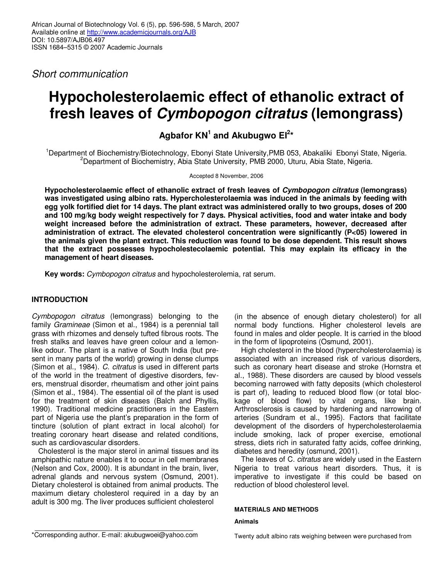Short communication

# **Hypocholesterolaemic effect of ethanolic extract of fresh leaves of Cymbopogon citratus (lemongrass)**

## **Agbafor KN<sup>1</sup> and Akubugwo EI<sup>2</sup> \***

<sup>1</sup>Department of Biochemistry/Biotechnology, Ebonyi State University, PMB 053, Abakaliki Ebonyi State, Nigeria. <sup>2</sup>Department of Biochemistry, Abia State University, PMB 2000, Uturu, Abia State, Nigeria.

Accepted 8 November, 2006

**Hypocholesterolaemic effect of ethanolic extract of fresh leaves of Cymbopogon citratus (lemongrass) was investigated using albino rats. Hypercholesterolaemia was induced in the animals by feeding with egg yolk fortified diet for 14 days. The plant extract was administered orally to two groups, doses of 200 and 100 mg/kg body weight respectively for 7 days. Physical activities, food and water intake and body weight increased before the administration of extract. These parameters, however, decreased after administration of extract. The elevated cholesterol concentration were significantly (P<05) lowered in the animals given the plant extract. This reduction was found to be dose dependent. This result shows that the extract possesses hypocholestecolaemic potential. This may explain its efficacy in the management of heart diseases.** 

**Key words:** Cymbopogon citratus and hypocholesterolemia, rat serum.

## **INTRODUCTION**

Cymbopogon citratus (lemongrass) belonging to the family Gramineae (Simon et al., 1984) is a perennial tall grass with rhizomes and densely tufted fibrous roots. The fresh stalks and leaves have green colour and a lemonlike odour. The plant is a native of South India (but present in many parts of the world) growing in dense clumps (Simon et al., 1984). C. citratus is used in different parts of the world in the treatment of digestive disorders, fevers, menstrual disorder, rheumatism and other joint pains (Simon et al., 1984). The essential oil of the plant is used for the treatment of skin diseases (Balch and Phyllis, 1990). Traditional medicine practitioners in the Eastern part of Nigeria use the plant's preparation in the form of tincture (solution of plant extract in local alcohol) for treating coronary heart disease and related conditions, such as cardiovascular disorders.

Cholesterol is the major sterol in animal tissues and its amphipathic nature enables it to occur in cell membranes (Nelson and Cox, 2000). It is abundant in the brain, liver, adrenal glands and nervous system (Osmund, 2001). Dietary cholesterol is obtained from animal products. The maximum dietary cholesterol required in a day by an adult is 300 mg. The liver produces sufficient cholesterol

(in the absence of enough dietary cholesterol) for all normal body functions. Higher cholesterol levels are found in males and older people. It is carried in the blood in the form of lipoproteins (Osmund, 2001).

High cholesterol in the blood (hypercholesterolaemia) is associated with an increased risk of various disorders, such as coronary heart disease and stroke (Hornstra et al., 1988). These disorders are caused by blood vessels becoming narrowed with fatty deposits (which cholesterol is part of), leading to reduced blood flow (or total blockage of blood flow) to vital organs, like brain. Arthrosclerosis is caused by hardening and narrowing of arteries (Sundram et al., 1995). Factors that facilitate development of the disorders of hypercholesterolaemia include smoking, lack of proper exercise, emotional stress, diets rich in saturated fatty acids, coffee drinking, diabetes and heredity (osmund, 2001).

The leaves of C. citratus are widely used in the Eastern Nigeria to treat various heart disorders. Thus, it is imperative to investigate if this could be based on reduction of blood cholesterol level.

## **MATERIALS AND METHODS**

#### **Animals**

Twenty adult albino rats weighing between were purchased from

<sup>\*</sup>Corresponding author. E-mail: akubugwoei@yahoo.com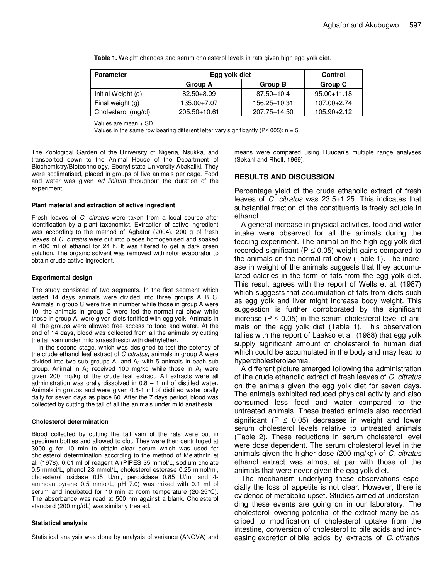| <b>Parameter</b>    | Egg yolk diet  |                | <b>Control</b>  |
|---------------------|----------------|----------------|-----------------|
|                     | Group A        | Group B        | Group C         |
| Initial Weight (g)  | $82.50 + 8.09$ | $87.50 + 10.4$ | $95.00 + 11.18$ |
| Final weight (g)    | 135.00+7.07    | 156.25+10.31   | 107.00+2.74     |
| Cholesterol (mg/dl) | 205.50+10.61   | 207.75+14.50   | $105.90 + 2.12$ |

**Table 1.** Weight changes and serum cholesterol levels in rats given high egg yolk diet.

Values are mean + SD.

Values in the same row bearing different letter vary significantly (P  $\leq$  005); n = 5.

The Zoological Garden of the University of Nigeria, Nsukka, and transported down to the Animal House of the Department of Biochemistry/Biotechnology, Ebonyi state University Abakaliki. They were acclimatised, placed in groups of five animals per cage. Food and water was given ad libitum throughout the duration of the experiment.

#### **Plant material and extraction of active ingredient**

Fresh leaves of C. citratus were taken from a local source after identification by a plant taxonomist. Extraction of active ingredient was according to the method of Agbafor (2004). 200 g of fresh leaves of C. citratus were cut into pieces homogenised and soaked in 400 ml of ethanol for 24 h. It was filtered to get a dark green solution. The organic solvent was removed with rotor evaporator to obtain crude active ingredient.

#### **Experimental design**

The study consisted of two segments. In the first segment which lasted 14 days animals were divided into three groups A B C. Animals in group C were five in number while those in group A were 10. the animals in group C were fed the normal rat chow while those in group A, were given diets fortified with egg yolk. Animals in all the groups were allowed free access to food and water. At the end of 14 days, blood was collected from all the animals by cutting the tail vain under mild anaesthesici with diethylether.

In the second stage, which was designed to test the potency of the crude ethanol leaf extract of C citratus**,** animals in group A were divided into two sub groups  $A_1$  and  $A_2$  with 5 animals in each sub group. Animal in  $A_2$  received 100 mg/kg while those in  $A_1$  were given 200 mg/kg of the crude leaf extract. All extracts were all administration was orally dissolved in  $0.8 - 1$  ml of distilled water. Animals in groups and were given 0.8-1 ml of distilled water orally daily for seven days as place 60. After the 7 days period, blood was collected by cutting the tail of all the animals under mild anathesia.

#### **Cholesterol determination**

Blood collected by cutting the tail vain of the rats were put in specimen bottles and allowed to clot. They were then centrifuged at 3000 g for 10 min to obtain clear serum which was used for cholesterol determination according to the method of Meiathnin et al. (1978). 0.01 ml of reagent A (PIPES 35 mmol/L, sodium cholate 0.5 mmol/L, phenol 28 mmol/L, cholesterol esterase 0.25 mmol/ml, cholesterol oxidase 0.l5 U/ml, peroxidase 0.85 U/ml and 4 aminoantipyrene 0.5 mmol/L, pH 7.0) was mixed with 0.1 ml of serum and incubated for 10 min at room temperature (20-25°C). The absorbance was read at 500 nm against a blank. Cholesterol standard (200 mg/dL) was similarly treated.

#### **Statistical analysis**

Statistical analysis was done by analysis of variance (ANOVA) and

means were compared using Duucan's multiple range analyses (Sokahl and Rholf, 1969).

### **RESULTS AND DISCUSSION**

Percentage yield of the crude ethanolic extract of fresh leaves of C. citratus was 23.5+1.25. This indicates that substantial fraction of the constituents is freely soluble in ethanol.

A general increase in physical activities, food and water intake were observed for all the animals during the feeding experiment. The animal on the high egg yolk diet recorded significant ( $P \le 0.05$ ) weight gains compared to the animals on the normal rat chow (Table 1). The increase in weight of the animals suggests that they accumulated calories in the form of fats from the egg yolk diet. This result agrees with the report of Wells et al. (1987) which suggests that accumulation of fats from diets such as egg yolk and liver might increase body weight. This suggestion is further corroborated by the significant increase ( $P \le 0.05$ ) in the serum cholesterol level of animals on the egg yolk diet (Table 1). This observation tallies with the report of Laakso et al. (1988) that egg yolk supply significant amount of cholesterol to human diet which could be accumulated in the body and may lead to hypercholesterolaemia.

A different picture emerged following the administration of the crude ethanolic extract of fresh leaves of C. citratus on the animals given the egg yolk diet for seven days. The animals exhibited reduced physical activity and also consumed less food and water compared to the untreated animals. These treated animals also recorded significant ( $P \le 0.05$ ) decreases in weight and lower serum cholesterol levels relative to untreated animals (Table 2). These reductions in serum cholesterol level were dose dependent. The serum cholesterol level in the animals given the higher dose (200 mg/kg) of C. citratus ethanol extract was almost at par with those of the animals that were never given the egg yolk diet.

The mechanism underlying these observations especially the loss of appetite is not clear. However, there is evidence of metabolic upset. Studies aimed at understanding these events are going on in our laboratory. The cholesterol-lowering potential of the extract many be ascribed to modification of cholesterol uptake from the intestine, conversion of cholesterol to bile acids and increasing excretion of bile acids by extracts ofC. citratus